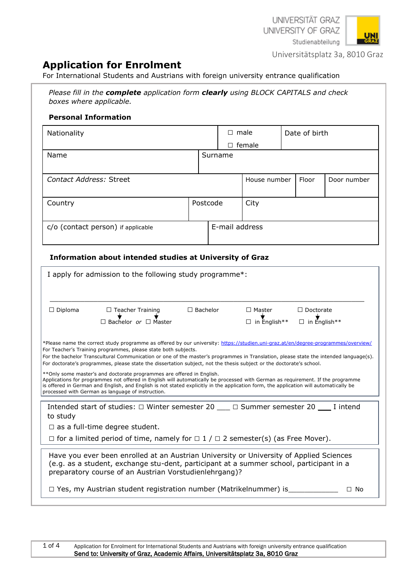UNIVERSITÄT GRAZ UNIVERSITY OF GRAZ Studienabteilung



Universitätsplatz 3a, 8010 Graz

# **Application for Enrolment**

For International Students and Austrians with foreign university entrance qualification

*Please fill in the complete application form clearly using BLOCK CAPITALS and check boxes where applicable.*

# **Personal Information**

| Nationality                        |          |                  | $\Box$ male           |  | Date of birth |  |  |
|------------------------------------|----------|------------------|-----------------------|--|---------------|--|--|
|                                    |          | female<br>$\Box$ |                       |  |               |  |  |
| Name                               |          | Surname          |                       |  |               |  |  |
|                                    |          |                  |                       |  |               |  |  |
| Contact Address: Street            |          |                  | House number<br>Floor |  | Door number   |  |  |
|                                    |          |                  |                       |  |               |  |  |
| Country                            | Postcode |                  | City                  |  |               |  |  |
|                                    |          |                  |                       |  |               |  |  |
| c/o (contact person) if applicable |          |                  | E-mail address        |  |               |  |  |
|                                    |          |                  |                       |  |               |  |  |

# **Information about intended studies at University of Graz**

|                                                                                                                                                                                                                                                                                                                                                                                                                                                                                                                                                                                                                                                                                                                                                                                                                                                                                 | I apply for admission to the following study programme*:                 |                 |                                      |                                         |  |  |  |  |
|---------------------------------------------------------------------------------------------------------------------------------------------------------------------------------------------------------------------------------------------------------------------------------------------------------------------------------------------------------------------------------------------------------------------------------------------------------------------------------------------------------------------------------------------------------------------------------------------------------------------------------------------------------------------------------------------------------------------------------------------------------------------------------------------------------------------------------------------------------------------------------|--------------------------------------------------------------------------|-----------------|--------------------------------------|-----------------------------------------|--|--|--|--|
| $\Box$ Diploma                                                                                                                                                                                                                                                                                                                                                                                                                                                                                                                                                                                                                                                                                                                                                                                                                                                                  | $\Box$ Teacher Training<br>$\Box$ Bachelor or $\Box$ Master              | $\Box$ Bachelor | $\Box$ Master<br>$\Box$ in English** | $\Box$ Doctorate<br>$\Box$ in English** |  |  |  |  |
| *Please name the correct study programme as offered by our university: https://studien.uni-graz.at/en/degree-programmes/overview/<br>For Teacher's Training programmes, please state both subjects.<br>For the bachelor Transcultural Communication or one of the master's programmes in Translation, please state the intended language(s).<br>For doctorate's programmes, please state the dissertation subject, not the thesis subject or the doctorate's school.<br>** Only some master's and doctorate programmes are offered in English.<br>Applications for programmes not offered in English will automatically be processed with German as requirement. If the programme<br>is offered in German and English, and English is not stated explicitly in the application form, the application will automatically be<br>processed with German as language of instruction. |                                                                          |                 |                                      |                                         |  |  |  |  |
| Intended start of studies: $\Box$ Winter semester 20 $\Box$ Summer semester 20 $\Box$ I intend<br>to study                                                                                                                                                                                                                                                                                                                                                                                                                                                                                                                                                                                                                                                                                                                                                                      |                                                                          |                 |                                      |                                         |  |  |  |  |
| $\Box$ as a full-time degree student.                                                                                                                                                                                                                                                                                                                                                                                                                                                                                                                                                                                                                                                                                                                                                                                                                                           |                                                                          |                 |                                      |                                         |  |  |  |  |
| $\Box$ for a limited period of time, namely for $\Box$ 1 / $\Box$ 2 semester(s) (as Free Mover).                                                                                                                                                                                                                                                                                                                                                                                                                                                                                                                                                                                                                                                                                                                                                                                |                                                                          |                 |                                      |                                         |  |  |  |  |
| Have you ever been enrolled at an Austrian University or University of Applied Sciences<br>(e.g. as a student, exchange stu-dent, participant at a summer school, participant in a<br>preparatory course of an Austrian Vorstudienlehrgang)?                                                                                                                                                                                                                                                                                                                                                                                                                                                                                                                                                                                                                                    |                                                                          |                 |                                      |                                         |  |  |  |  |
|                                                                                                                                                                                                                                                                                                                                                                                                                                                                                                                                                                                                                                                                                                                                                                                                                                                                                 | $\Box$ Yes, my Austrian student registration number (Matrikelnummer) is_ |                 |                                      | $\Box$ No                               |  |  |  |  |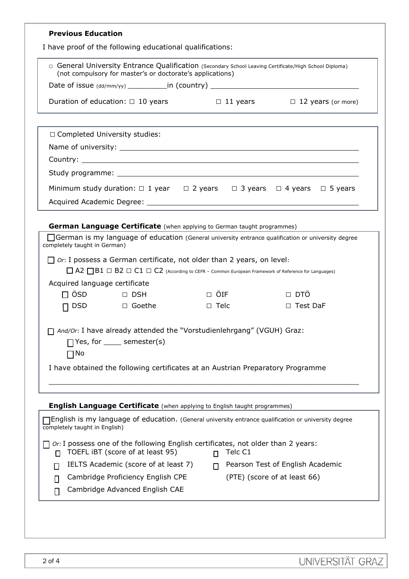|                                                                                                                                                                                                                     |                                                                                                             | $\Box$ DTÖ                                                                                                                                                                                                                                                                                                                                                                                                                                                                                                                                                                                                                                                                                                                                                                                                                                                                                                                                                                                                                                                                                                                                                                                                                                                                                                                  |
|---------------------------------------------------------------------------------------------------------------------------------------------------------------------------------------------------------------------|-------------------------------------------------------------------------------------------------------------|-----------------------------------------------------------------------------------------------------------------------------------------------------------------------------------------------------------------------------------------------------------------------------------------------------------------------------------------------------------------------------------------------------------------------------------------------------------------------------------------------------------------------------------------------------------------------------------------------------------------------------------------------------------------------------------------------------------------------------------------------------------------------------------------------------------------------------------------------------------------------------------------------------------------------------------------------------------------------------------------------------------------------------------------------------------------------------------------------------------------------------------------------------------------------------------------------------------------------------------------------------------------------------------------------------------------------------|
|                                                                                                                                                                                                                     |                                                                                                             | $\Box$ Test DaF                                                                                                                                                                                                                                                                                                                                                                                                                                                                                                                                                                                                                                                                                                                                                                                                                                                                                                                                                                                                                                                                                                                                                                                                                                                                                                             |
|                                                                                                                                                                                                                     |                                                                                                             |                                                                                                                                                                                                                                                                                                                                                                                                                                                                                                                                                                                                                                                                                                                                                                                                                                                                                                                                                                                                                                                                                                                                                                                                                                                                                                                             |
|                                                                                                                                                                                                                     |                                                                                                             |                                                                                                                                                                                                                                                                                                                                                                                                                                                                                                                                                                                                                                                                                                                                                                                                                                                                                                                                                                                                                                                                                                                                                                                                                                                                                                                             |
|                                                                                                                                                                                                                     |                                                                                                             |                                                                                                                                                                                                                                                                                                                                                                                                                                                                                                                                                                                                                                                                                                                                                                                                                                                                                                                                                                                                                                                                                                                                                                                                                                                                                                                             |
|                                                                                                                                                                                                                     |                                                                                                             |                                                                                                                                                                                                                                                                                                                                                                                                                                                                                                                                                                                                                                                                                                                                                                                                                                                                                                                                                                                                                                                                                                                                                                                                                                                                                                                             |
|                                                                                                                                                                                                                     |                                                                                                             |                                                                                                                                                                                                                                                                                                                                                                                                                                                                                                                                                                                                                                                                                                                                                                                                                                                                                                                                                                                                                                                                                                                                                                                                                                                                                                                             |
|                                                                                                                                                                                                                     |                                                                                                             |                                                                                                                                                                                                                                                                                                                                                                                                                                                                                                                                                                                                                                                                                                                                                                                                                                                                                                                                                                                                                                                                                                                                                                                                                                                                                                                             |
| п                                                                                                                                                                                                                   | Telc C1                                                                                                     |                                                                                                                                                                                                                                                                                                                                                                                                                                                                                                                                                                                                                                                                                                                                                                                                                                                                                                                                                                                                                                                                                                                                                                                                                                                                                                                             |
| п                                                                                                                                                                                                                   |                                                                                                             | Pearson Test of English Academic                                                                                                                                                                                                                                                                                                                                                                                                                                                                                                                                                                                                                                                                                                                                                                                                                                                                                                                                                                                                                                                                                                                                                                                                                                                                                            |
|                                                                                                                                                                                                                     |                                                                                                             | (PTE) (score of at least 66)                                                                                                                                                                                                                                                                                                                                                                                                                                                                                                                                                                                                                                                                                                                                                                                                                                                                                                                                                                                                                                                                                                                                                                                                                                                                                                |
|                                                                                                                                                                                                                     |                                                                                                             |                                                                                                                                                                                                                                                                                                                                                                                                                                                                                                                                                                                                                                                                                                                                                                                                                                                                                                                                                                                                                                                                                                                                                                                                                                                                                                                             |
| $\Box$ Completed University studies:<br>completely taught in German)<br>Acquired language certificate<br>$\Box$ ÖSD $\Box$ DSH<br>□ Goethe<br>$\Box$ Yes, for _____ semester(s)<br>TOEFL iBT (score of at least 95) | IELTS Academic (score of at least 7)<br>Cambridge Proficiency English CPE<br>Cambridge Advanced English CAE | I have proof of the following educational qualifications:<br>□ General University Entrance Qualification (Secondary School Leaving Certificate/High School Diploma)<br>(not compulsory for master's or doctorate's applications)<br>Duration of education: $\Box$ 10 years $\Box$ 11 years $\Box$ 12 years (or more)<br>Minimum study duration: $\Box$ 1 year $\Box$ 2 years $\Box$ 3 years $\Box$ 4 years $\Box$ 5 years<br>German Language Certificate (when applying to German taught programmes)<br>$\Box$ German is my language of education (General university entrance qualification or university degree<br>$\Box$ or: I possess a German certificate, not older than 2 years, on level:<br>$\Box$ A2 $\Box$ B1 $\Box$ B2 $\Box$ C1 $\Box$ C2 (According to CEFR - Common European Framework of Reference for Languages)<br>$\Box$ $\ddot{\mathrm{O}}$ if<br>$\Box$ Telc<br>□ And/Or: I have already attended the "Vorstudienlehrgang" (VGUH) Graz:<br>I have obtained the following certificates at an Austrian Preparatory Programme<br>English Language Certificate (when applying to English taught programmes)<br>[English is my language of education. (General university entrance qualification or university degree<br>$or: I$ possess one of the following English certificates, not older than 2 years: |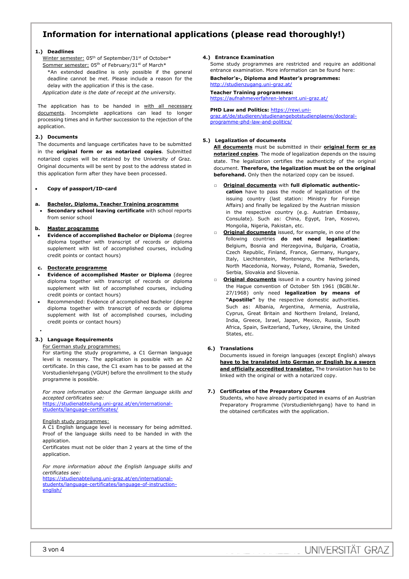# **Information for international applications (please read thoroughly!)**

### **1.) Deadlines**

Winter semester: 05<sup>th</sup> of September/31<sup>st</sup> of October\* Sommer semester: 05<sup>th</sup> of February/31<sup>st</sup> of March\*

\*An extended deadline is only possible if the general deadline cannot be met. Please include a reason for the delay with the application if this is the case.

*Application date is the date of receipt at the university.* 

The application has to be handed in with all necessary documents. Incomplete applications can lead to longer processing times and in further succession to the rejection of the application.

### **2.) Documents**

The documents and language certificates have to be submitted in the **original form or as notarized copies**. Submitted notarized copies will be retained by the University of Graz. Original documents will be sent by post to the address stated in this application form after they have been processed.

### • **Copy of passport/ID-card**

### **a. Bachelor, Diploma, Teacher Training programme**

• **Secondary school leaving certificate** with school reports from senior school

### **b. Master programme**

• **Evidence of accomplished Bachelor or Diploma** (degree diploma together with transcript of records or diploma supplement with list of accomplished courses, including credit points or contact hours)

### **c. Doctorate programme**

- **Evidence of accomplished Master or Diploma** (degree diploma together with transcript of records or diploma supplement with list of accomplished courses, including credit points or contact hours)
- Recommended: Evidence of accomplished Bachelor (degree diploma together with transcript of records or diploma supplement with list of accomplished courses, including credit points or contact hours)

### •

### **3.) Language Requirements**

For German study programmes: For starting the study programme, a C1 German language level is necessary. The application is possible with an A2 certificate. In this case, the C1 exam has to be passed at the Vorstudienlehrgang (VGUH) before the enrollment to the study programme is possible.

*For more information about the German language skills and accepted certificates see:* 

[https://studienabteilung.uni-graz.at/en/international](https://studienabteilung.uni-graz.at/en/international-students/language-certificates/)[students/language-certificates/](https://studienabteilung.uni-graz.at/en/international-students/language-certificates/)

#### English study programmes:

A C1 English language level is necessary for being admitted. Proof of the language skills need to be handed in with the application.

Certificates must not be older than 2 years at the time of the application.

*For more information about the English language skills and certificates see:* 

[https://studienabteilung.uni-graz.at/en/international](https://studienabteilung.uni-graz.at/en/international-students/language-certificates/language-of-instruction-english/)[students/language-certificates/language-of-instruction](https://studienabteilung.uni-graz.at/en/international-students/language-certificates/language-of-instruction-english/)[english/](https://studienabteilung.uni-graz.at/en/international-students/language-certificates/language-of-instruction-english/)

### **4.) Entrance Examination**

Some study programmes are restricted and require an additional entrance examination. More information can be found here:

### **Bachelor's-, Diploma and Master's programmes:** <http://studienzugang.uni-graz.at/>

**Teacher Training programmes:** <https://aufnahmeverfahren-lehramt.uni-graz.at/>

**PHD Law and Politics:** https://rewi.unigraz.at/de/studieren/studienangebotstudienplaene/doctoralprogramme-phd-law-and-politics/

### **5.) Legalization of documents**

**All documents** must be submitted in their **original form or as notarized copies**. The mode of legalization depends on the issuing state. The legalization certifies the authenticity of the original document. **Therefore, the legalization must be on the original beforehand.** Only then the notarized copy can be issued.

- □ **Original documents** with **full diplomatic authenticcation** have to pass the mode of legalization of the issuing country (last station: Ministry for Foreign Affairs) and finally be legalized by the Austrian mission in the respective country (e.g. Austrian Embassy, Consulate). Such as: China, Egypt, Iran, Kosovo, Mongolia, Nigeria, Pakistan, etc.
- □ **Original documents** issued, for example, in one of the following countries **do not need legalization**: Belgium, Bosnia and Herzegovina, Bulgaria, Croatia, Czech Republic, Finland, France, Germany, Hungary, Italy, Liechtenstein, Montenegro, the Netherlands, North Macedonia, Norway, Poland, Romania, Sweden, Serbia, Slovakia and Slovenia.
- □ **Original documents** issued in a country having joined the Hague convention of October 5th 1961 (BGBl.Nr. 27/1968) only need **legalization by means of "Apostille"** by the respective domestic authorities. Such as: Albania, Argentina, Armenia, Australia, Cyprus, Great Britain and Northern Ireland, Ireland, India, Greece, Israel, Japan, Mexico, Russia, South Africa, Spain, Switzerland, Turkey, Ukraine, the United States, etc.

### **6.) Translations**

Documents issued in foreign languages (except English) always **have to be translated into German or English by a sworn and officially accredited translator.** The translation has to be linked with the original or with a notarized copy.

### **7.) Certificates of the Preparatory Courses**

Students, who have already participated in exams of an Austrian Preparatory Programme (Vorstudienlehrgang) have to hand in the obtained certificates with the application.